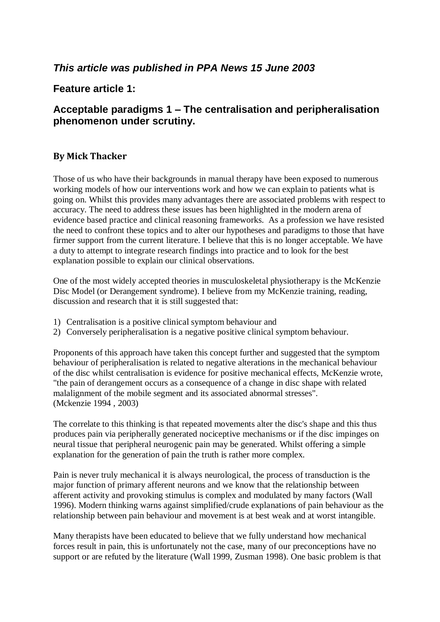# *This article was published in PPA News 15 June 2003*

## **Feature article 1:**

# **Acceptable paradigms 1 – The centralisation and peripheralisation phenomenon under scrutiny.**

### **By Mick Thacker**

Those of us who have their backgrounds in manual therapy have been exposed to numerous working models of how our interventions work and how we can explain to patients what is going on. Whilst this provides many advantages there are associated problems with respect to accuracy. The need to address these issues has been highlighted in the modern arena of evidence based practice and clinical reasoning frameworks. As a profession we have resisted the need to confront these topics and to alter our hypotheses and paradigms to those that have firmer support from the current literature. I believe that this is no longer acceptable. We have a duty to attempt to integrate research findings into practice and to look for the best explanation possible to explain our clinical observations.

One of the most widely accepted theories in musculoskeletal physiotherapy is the McKenzie Disc Model (or Derangement syndrome). I believe from my McKenzie training, reading, discussion and research that it is still suggested that:

- 1) Centralisation is a positive clinical symptom behaviour and
- 2) Conversely peripheralisation is a negative positive clinical symptom behaviour.

Proponents of this approach have taken this concept further and suggested that the symptom behaviour of peripheralisation is related to negative alterations in the mechanical behaviour of the disc whilst centralisation is evidence for positive mechanical effects, McKenzie wrote, "the pain of derangement occurs as a consequence of a change in disc shape with related malalignment of the mobile segment and its associated abnormal stresses". (Mckenzie 1994 , 2003)

The correlate to this thinking is that repeated movements alter the disc's shape and this thus produces pain via peripherally generated nociceptive mechanisms or if the disc impinges on neural tissue that peripheral neurogenic pain may be generated. Whilst offering a simple explanation for the generation of pain the truth is rather more complex.

Pain is never truly mechanical it is always neurological, the process of transduction is the major function of primary afferent neurons and we know that the relationship between afferent activity and provoking stimulus is complex and modulated by many factors (Wall 1996). Modern thinking warns against simplified/crude explanations of pain behaviour as the relationship between pain behaviour and movement is at best weak and at worst intangible.

Many therapists have been educated to believe that we fully understand how mechanical forces result in pain, this is unfortunately not the case, many of our preconceptions have no support or are refuted by the literature (Wall 1999, Zusman 1998). One basic problem is that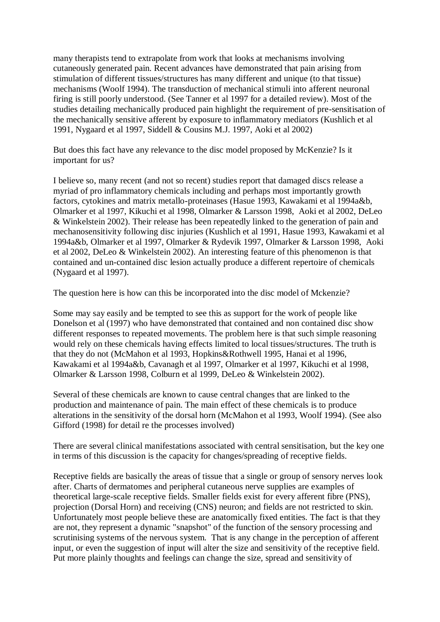many therapists tend to extrapolate from work that looks at mechanisms involving cutaneously generated pain. Recent advances have demonstrated that pain arising from stimulation of different tissues/structures has many different and unique (to that tissue) mechanisms (Woolf 1994). The transduction of mechanical stimuli into afferent neuronal firing is still poorly understood. (See Tanner et al 1997 for a detailed review). Most of the studies detailing mechanically produced pain highlight the requirement of pre-sensitisation of the mechanically sensitive afferent by exposure to inflammatory mediators (Kushlich et al 1991, Nygaard et al 1997, Siddell & Cousins M.J. 1997, Aoki et al 2002)

But does this fact have any relevance to the disc model proposed by McKenzie? Is it important for us?

I believe so, many recent (and not so recent) studies report that damaged discs release a myriad of pro inflammatory chemicals including and perhaps most importantly growth factors, cytokines and matrix metallo-proteinases (Hasue 1993, Kawakami et al 1994a&b, Olmarker et al 1997, Kikuchi et al 1998, Olmarker & Larsson 1998, Aoki et al 2002, DeLeo & Winkelstein 2002). Their release has been repeatedly linked to the generation of pain and mechanosensitivity following disc injuries (Kushlich et al 1991, Hasue 1993, Kawakami et al 1994a&b, Olmarker et al 1997, Olmarker & Rydevik 1997, Olmarker & Larsson 1998, Aoki et al 2002, DeLeo & Winkelstein 2002). An interesting feature of this phenomenon is that contained and un-contained disc lesion actually produce a different repertoire of chemicals (Nygaard et al 1997).

The question here is how can this be incorporated into the disc model of Mckenzie?

Some may say easily and be tempted to see this as support for the work of people like Donelson et al (1997) who have demonstrated that contained and non contained disc show different responses to repeated movements. The problem here is that such simple reasoning would rely on these chemicals having effects limited to local tissues/structures. The truth is that they do not (McMahon et al 1993, Hopkins&Rothwell 1995, Hanai et al 1996, Kawakami et al 1994a&b, Cavanagh et al 1997, Olmarker et al 1997, Kikuchi et al 1998, Olmarker & Larsson 1998, Colburn et al 1999, DeLeo & Winkelstein 2002).

Several of these chemicals are known to cause central changes that are linked to the production and maintenance of pain. The main effect of these chemicals is to produce alterations in the sensitivity of the dorsal horn (McMahon et al 1993, Woolf 1994). (See also Gifford (1998) for detail re the processes involved)

There are several clinical manifestations associated with central sensitisation, but the key one in terms of this discussion is the capacity for changes/spreading of receptive fields.

Receptive fields are basically the areas of tissue that a single or group of sensory nerves look after. Charts of dermatomes and peripheral cutaneous nerve supplies are examples of theoretical large-scale receptive fields. Smaller fields exist for every afferent fibre (PNS), projection (Dorsal Horn) and receiving (CNS) neuron; and fields are not restricted to skin. Unfortunately most people believe these are anatomically fixed entities. The fact is that they are not, they represent a dynamic "snapshot" of the function of the sensory processing and scrutinising systems of the nervous system. That is any change in the perception of afferent input, or even the suggestion of input will alter the size and sensitivity of the receptive field. Put more plainly thoughts and feelings can change the size, spread and sensitivity of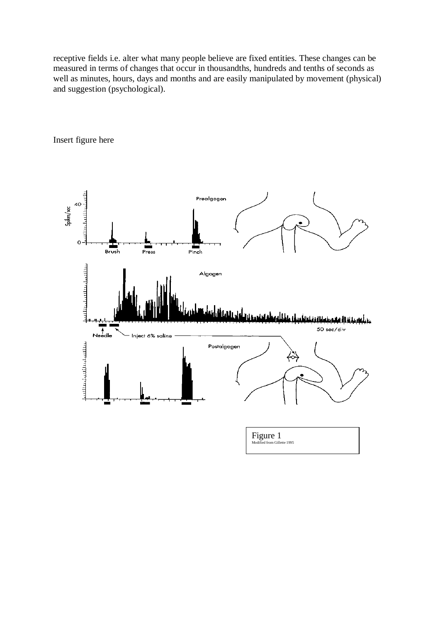receptive fields i.e. alter what many people believe are fixed entities. These changes can be measured in terms of changes that occur in thousandths, hundreds and tenths of seconds as well as minutes, hours, days and months and are easily manipulated by movement (physical) and suggestion (psychological).



Insert figure here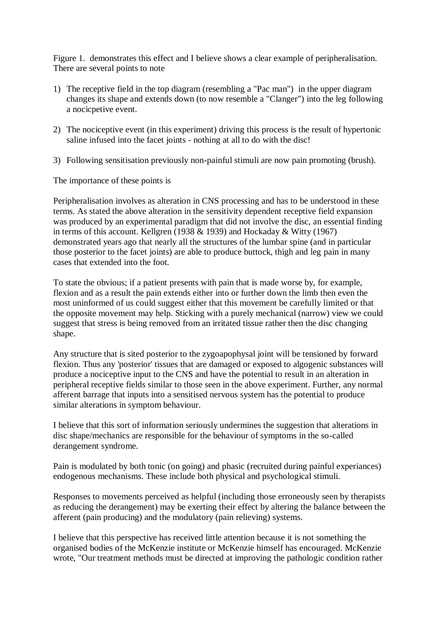Figure 1. demonstrates this effect and I believe shows a clear example of peripheralisation. There are several points to note

- 1) The receptive field in the top diagram (resembling a "Pac man") in the upper diagram changes its shape and extends down (to now resemble a "Clanger") into the leg following a nocicpetive event.
- 2) The nociceptive event (in this experiment) driving this process is the result of hypertonic saline infused into the facet joints - nothing at all to do with the disc!
- 3) Following sensitisation previously non-painful stimuli are now pain promoting (brush).

The importance of these points is

Peripheralisation involves as alteration in CNS processing and has to be understood in these terms. As stated the above alteration in the sensitivity dependent receptive field expansion was produced by an experimental paradigm that did not involve the disc, an essential finding in terms of this account. Kellgren (1938  $& 1939$ ) and Hockaday  $&$  Witty (1967) demonstrated years ago that nearly all the structures of the lumbar spine (and in particular those posterior to the facet joints) are able to produce buttock, thigh and leg pain in many cases that extended into the foot.

To state the obvious; if a patient presents with pain that is made worse by, for example, flexion and as a result the pain extends either into or further down the limb then even the most uninformed of us could suggest either that this movement be carefully limited or that the opposite movement may help. Sticking with a purely mechanical (narrow) view we could suggest that stress is being removed from an irritated tissue rather then the disc changing shape.

Any structure that is sited posterior to the zygoapophysal joint will be tensioned by forward flexion. Thus any 'posterior' tissues that are damaged or exposed to algogenic substances will produce a nociceptive input to the CNS and have the potential to result in an alteration in peripheral receptive fields similar to those seen in the above experiment. Further, any normal afferent barrage that inputs into a sensitised nervous system has the potential to produce similar alterations in symptom behaviour.

I believe that this sort of information seriously undermines the suggestion that alterations in disc shape/mechanics are responsible for the behaviour of symptoms in the so-called derangement syndrome.

Pain is modulated by both tonic (on going) and phasic (recruited during painful experiances) endogenous mechanisms. These include both physical and psychological stimuli.

Responses to movements perceived as helpful (including those erroneously seen by therapists as reducing the derangement) may be exerting their effect by altering the balance between the afferent (pain producing) and the modulatory (pain relieving) systems.

I believe that this perspective has received little attention because it is not something the organised bodies of the McKenzie institute or McKenzie himself has encouraged. McKenzie wrote, "Our treatment methods must be directed at improving the pathologic condition rather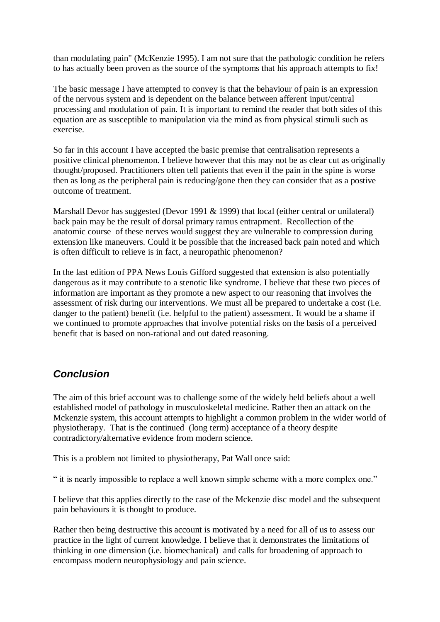than modulating pain" (McKenzie 1995). I am not sure that the pathologic condition he refers to has actually been proven as the source of the symptoms that his approach attempts to fix!

The basic message I have attempted to convey is that the behaviour of pain is an expression of the nervous system and is dependent on the balance between afferent input/central processing and modulation of pain. It is important to remind the reader that both sides of this equation are as susceptible to manipulation via the mind as from physical stimuli such as exercise.

So far in this account I have accepted the basic premise that centralisation represents a positive clinical phenomenon. I believe however that this may not be as clear cut as originally thought/proposed. Practitioners often tell patients that even if the pain in the spine is worse then as long as the peripheral pain is reducing/gone then they can consider that as a postive outcome of treatment.

Marshall Devor has suggested (Devor 1991 & 1999) that local (either central or unilateral) back pain may be the result of dorsal primary ramus entrapment. Recollection of the anatomic course of these nerves would suggest they are vulnerable to compression during extension like maneuvers. Could it be possible that the increased back pain noted and which is often difficult to relieve is in fact, a neuropathic phenomenon?

In the last edition of PPA News Louis Gifford suggested that extension is also potentially dangerous as it may contribute to a stenotic like syndrome. I believe that these two pieces of information are important as they promote a new aspect to our reasoning that involves the assessment of risk during our interventions. We must all be prepared to undertake a cost (i.e. danger to the patient) benefit (i.e. helpful to the patient) assessment. It would be a shame if we continued to promote approaches that involve potential risks on the basis of a perceived benefit that is based on non-rational and out dated reasoning.

## *Conclusion*

The aim of this brief account was to challenge some of the widely held beliefs about a well established model of pathology in musculoskeletal medicine. Rather then an attack on the Mckenzie system, this account attempts to highlight a common problem in the wider world of physiotherapy. That is the continued (long term) acceptance of a theory despite contradictory/alternative evidence from modern science.

This is a problem not limited to physiotherapy, Pat Wall once said:

" it is nearly impossible to replace a well known simple scheme with a more complex one."

I believe that this applies directly to the case of the Mckenzie disc model and the subsequent pain behaviours it is thought to produce.

Rather then being destructive this account is motivated by a need for all of us to assess our practice in the light of current knowledge. I believe that it demonstrates the limitations of thinking in one dimension (i.e. biomechanical) and calls for broadening of approach to encompass modern neurophysiology and pain science.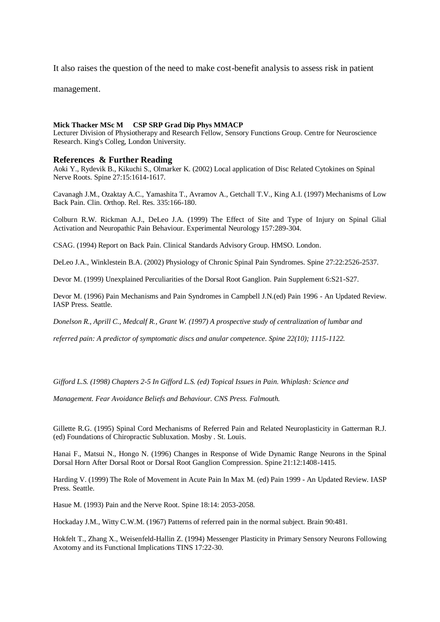It also raises the question of the need to make cost-benefit analysis to assess risk in patient

management.

### **Mick Thacker MSc M CSP SRP Grad Dip Phys MMACP**

Lecturer Division of Physiotherapy and Research Fellow, Sensory Functions Group. Centre for Neuroscience Research. King's Colleg, London University.

### **References & Further Reading**

Aoki Y., Rydevik B., Kikuchi S., Olmarker K. (2002) Local application of Disc Related Cytokines on Spinal Nerve Roots. Spine 27:15:1614-1617.

Cavanagh J.M., Ozaktay A.C., Yamashita T., Avramov A., Getchall T.V., King A.I. (1997) Mechanisms of Low Back Pain. Clin. Orthop. Rel. Res. 335:166-180.

Colburn R.W. Rickman A.J., DeLeo J.A. (1999) The Effect of Site and Type of Injury on Spinal Glial Activation and Neuropathic Pain Behaviour. Experimental Neurology 157:289-304.

CSAG. (1994) Report on Back Pain. Clinical Standards Advisory Group. HMSO. London.

DeLeo J.A., Winklestein B.A. (2002) Physiology of Chronic Spinal Pain Syndromes. Spine 27:22:2526-2537.

Devor M. (1999) Unexplained Perculiarities of the Dorsal Root Ganglion. Pain Supplement 6:S21-S27.

Devor M. (1996) Pain Mechanisms and Pain Syndromes in Campbell J.N.(ed) Pain 1996 - An Updated Review. IASP Press. Seattle.

*Donelson R., Aprill C., Medcalf R., Grant W. (1997) A prospective study of centralization of lumbar and* 

*referred pain: A predictor of symptomatic discs and anular competence. Spine 22(10); 1115-1122.*

*Gifford L.S. (1998) Chapters 2-5 In Gifford L.S. (ed) Topical Issues in Pain. Whiplash: Science and* 

*Management. Fear Avoidance Beliefs and Behaviour. CNS Press. Falmouth.*

Gillette R.G. (1995) Spinal Cord Mechanisms of Referred Pain and Related Neuroplasticity in Gatterman R.J. (ed) Foundations of Chiropractic Subluxation. Mosby . St. Louis.

Hanai F., Matsui N., Hongo N. (1996) Changes in Response of Wide Dynamic Range Neurons in the Spinal Dorsal Horn After Dorsal Root or Dorsal Root Ganglion Compression. Spine 21:12:1408-1415.

Harding V. (1999) The Role of Movement in Acute Pain In Max M. (ed) Pain 1999 - An Updated Review. IASP Press. Seattle.

Hasue M. (1993) Pain and the Nerve Root. Spine 18:14: 2053-2058.

Hockaday J.M., Witty C.W.M. (1967) Patterns of referred pain in the normal subject. Brain 90:481.

Hokfelt T., Zhang X., Weisenfeld-Hallin Z. (1994) Messenger Plasticity in Primary Sensory Neurons Following Axotomy and its Functional Implications TINS 17:22-30.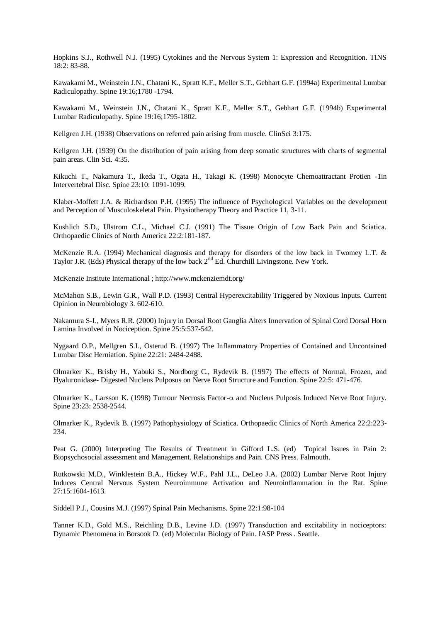Hopkins S.J., Rothwell N.J. (1995) Cytokines and the Nervous System 1: Expression and Recognition. TINS 18:2: 83-88.

Kawakami M., Weinstein J.N., Chatani K., Spratt K.F., Meller S.T., Gebhart G.F. (1994a) Experimental Lumbar Radiculopathy. Spine 19:16;1780 -1794.

Kawakami M., Weinstein J.N., Chatani K., Spratt K.F., Meller S.T., Gebhart G.F. (1994b) Experimental Lumbar Radiculopathy. Spine 19:16;1795-1802.

Kellgren J.H. (1938) Observations on referred pain arising from muscle. ClinSci 3:175.

Kellgren J.H. (1939) On the distribution of pain arising from deep somatic structures with charts of segmental pain areas. Clin Sci. 4:35.

Kikuchi T., Nakamura T., Ikeda T., Ogata H., Takagi K. (1998) Monocyte Chemoattractant Protien -1in Intervertebral Disc. Spine 23:10: 1091-1099.

Klaber-Moffett J.A. & Richardson P.H. (1995) The influence of Psychological Variables on the development and Perception of Musculoskeletal Pain. Physiotherapy Theory and Practice 11, 3-11.

Kushlich S.D., Ulstrom C.L., Michael C.J. (1991) The Tissue Origin of Low Back Pain and Sciatica. Orthopaedic Clinics of North America 22:2:181-187.

McKenzie R.A. (1994) Mechanical diagnosis and therapy for disorders of the low back in Twomey L.T. & Taylor J.R. (Eds) Physical therapy of the low back  $2<sup>nd</sup>$  Ed. Churchill Livingstone. New York.

McKenzie Institute International ; http://www.mckenziemdt.org/

McMahon S.B., Lewin G.R., Wall P.D. (1993) Central Hyperexcitability Triggered by Noxious Inputs. Current Opinion in Neurobiology 3. 602-610.

Nakamura S-I., Myers R.R. (2000) Injury in Dorsal Root Ganglia Alters Innervation of Spinal Cord Dorsal Horn Lamina Involved in Nociception. Spine 25:5:537-542.

Nygaard O.P., Mellgren S.I., Osterud B. (1997) The Inflammatory Properties of Contained and Uncontained Lumbar Disc Herniation. Spine 22:21: 2484-2488.

Olmarker K., Brisby H., Yabuki S., Nordborg C., Rydevik B. (1997) The effects of Normal, Frozen, and Hyaluronidase- Digested Nucleus Pulposus on Nerve Root Structure and Function. Spine 22:5: 471-476.

Olmarker K., Larsson K. (1998) Tumour Necrosis Factor- and Nucleus Pulposis Induced Nerve Root Injury. Spine 23:23: 2538-2544.

Olmarker K., Rydevik B. (1997) Pathophysiology of Sciatica. Orthopaedic Clinics of North America 22:2:223- 234.

Peat G. (2000) Interpreting The Results of Treatment in Gifford L.S. (ed) Topical Issues in Pain 2: Biopsychosocial assessment and Management. Relationships and Pain. CNS Press. Falmouth.

Rutkowski M.D., Winklestein B.A., Hickey W.F., Pahl J.L., DeLeo J.A. (2002) Lumbar Nerve Root Injury Induces Central Nervous System Neuroimmune Activation and Neuroinflammation in the Rat. Spine 27:15:1604-1613.

Siddell P.J., Cousins M.J. (1997) Spinal Pain Mechanisms. Spine 22:1:98-104

Tanner K.D., Gold M.S., Reichling D.B., Levine J.D. (1997) Transduction and excitability in nociceptors: Dynamic Phenomena in Borsook D. (ed) Molecular Biology of Pain. IASP Press . Seattle.